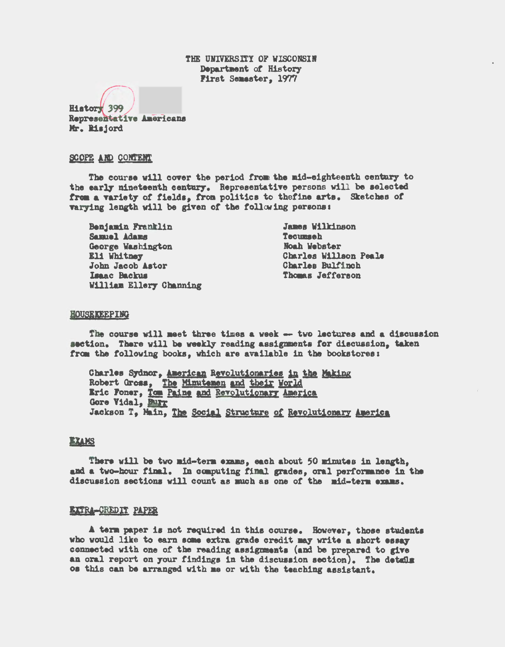THE UNIVERSITY OF WISCONSIN Department of History First Semaster, 1977

History 399 Representative Americans Mr. Risjord

#### SCOPE AND CONTENT

The course will cover the period from the mid-eighteenth century to the early nineteenth century. Representative persons will be selected from a variety of fields, from politics to thefine arts. Sketches of varying length will be given of the following persons:

Benjamin Franklin Samuel Adams George Washington Eli Whitney John Jacob Astor **Isaac Backus** William Ellery Channing

**James Wilkinson Tecumaeh Noah Webster** Charles Willson Peale Charles Bulfinch Thomas Jefferson

#### HOUSEKEEPING

The course will meet three times a week -- two lectures and a discussion section. There will be weekly reading assignments for discussion, taken from the following books, which are available in the bookstores:

Charles Sydnor, American Revolutionaries in the Making Robert Gross, The Minutemen and their World Eric Foner, Tom Paine and Revolutionary America Gore Vidal, Burr Jackson T, Main, The Social Structure of Revolutionary America

# BTAKS

There will be two mid-term exams, each about 50 minutes in length. and a two-hour final. In computing final grades, oral performance in the discussion sections will count as much as one of the mid-term exams.

#### BURA-GREDIT PAPER

A term paper is not required in this course. However, those students who would like to earn some extra grade credit may write a short essay connected with one of the reading assignments (and be prepared to give an oral report on your findings in the discussion section). The details os this can be arranged with me or with the teaching assistant.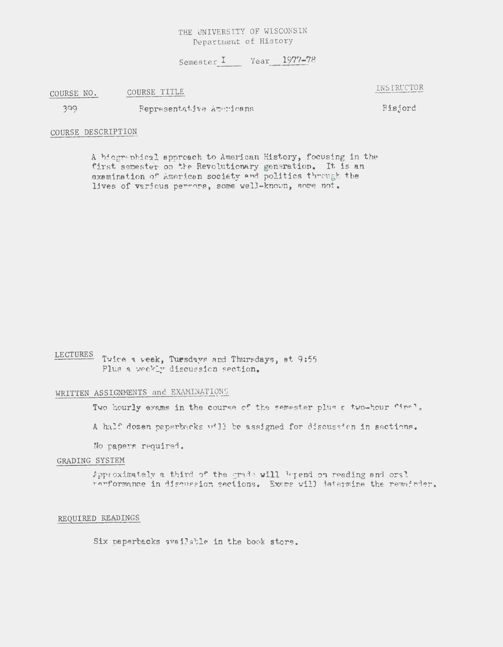# THE UNIVERSITY OF WISCONSIN Department of History

Semester I  $Year - 1977-78$ 

COURSE NO. COURSE TITLE

399 Representative Americans

Hisjord

# COURSE DESCRIPTION

A biographical approach to American History, focusing in the first semester on the Revolutionary generation. It is an examination of American society and politics tbrough the lives of various persons, some well-known, some not.

LECTURES Twice a week, Tuesdays and Thursdays, at 9:55 Plus a weekly discussion section.

# WRITTEN ASSIGNMENTS and EXAMINATIONS

Two hourly exams in the course of the semester plus a two-hour final.

A half dozen paperbacks will be assigned for discussion in sections.

No papers required.

# GRADING SYSTEM

Approximately a third of the grade will <sup>3</sup>epend on reading and oral rerformance in discussion sections. Exams will determine the remairder.

#### REQUIRED READINGS

Six paperbacks available in the book store.